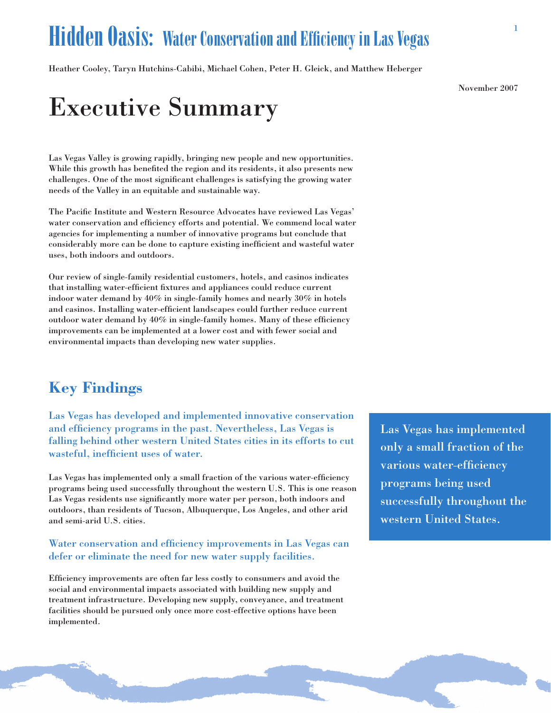### **Hidden Oasis: Water Conservation and Efficiency in Las Vegas**

Heather Cooley, Taryn Hutchins-Cabibi, Michael Cohen, Peter H. Gleick, and Matthew Heberger

November 2007

## **Executive Summary**

Las Vegas Valley is growing rapidly, bringing new people and new opportunities. While this growth has benefited the region and its residents, it also presents new challenges. One of the most significant challenges is satisfying the growing water needs of the Valley in an equitable and sustainable way.

The Pacific Institute and Western Resource Advocates have reviewed Las Vegas' water conservation and efficiency efforts and potential. We commend local water agencies for implementing a number of innovative programs but conclude that considerably more can be done to capture existing inefficient and wasteful water uses, both indoors and outdoors.

Our review of single-family residential customers, hotels, and casinos indicates that installing water-efficient fixtures and appliances could reduce current indoor water demand by  $40\%$  in single-family homes and nearly  $30\%$  in hotels and casinos. Installing water-efficient landscapes could further reduce current outdoor water demand by 40% in single-family homes. Many of these efficiency improvements can be implemented at a lower cost and with fewer social and environmental impacts than developing new water supplies.

### **Key Findings**

Las Vegas has developed and implemented innovative conservation and efficiency programs in the past. Nevertheless, Las Vegas is falling behind other western United States cities in its efforts to cut wasteful, inefficient uses of water.

Las Vegas has implemented only a small fraction of the various water-efficiency programs being used successfully throughout the western U.S. This is one reason Las Vegas residents use significantly more water per person, both indoors and outdoors, than residents of Tucson, Albuquerque, Los Angeles, and other arid and semi-arid U.S. cities.

#### Water conservation and efficiency improvements in Las Vegas can defer or eliminate the need for new water supply facilities.

Efficiency improvements are often far less costly to consumers and avoid the social and environmental impacts associated with building new supply and treatment infrastructure. Developing new supply, conveyance, and treatment facilities should be pursued only once more cost-effective options have been implemented.

Las Vegas has implemented only a small fraction of the various water-efficiency programs being used successfully throughout the western United States.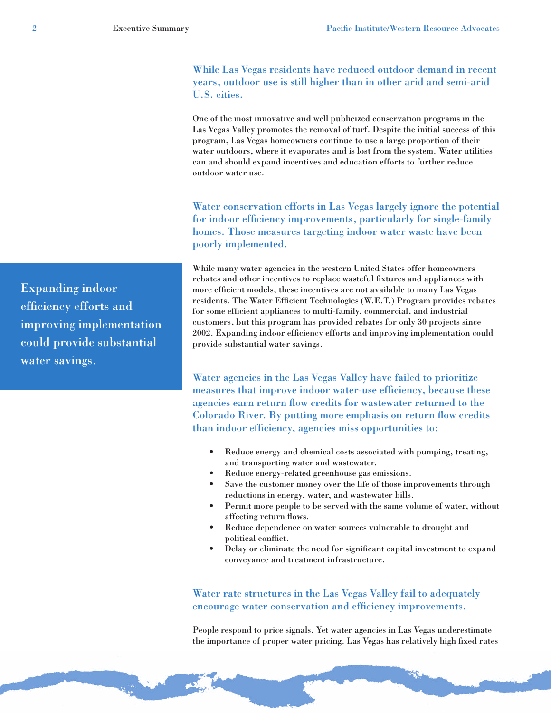While Las Vegas residents have reduced outdoor demand in recent years, outdoor use is still higher than in other arid and semi-arid U.S. cities.

One of the most innovative and well publicized conservation programs in the Las Vegas Valley promotes the removal of turf. Despite the initial success of this program, Las Vegas homeowners continue to use a large proportion of their water outdoors, where it evaporates and is lost from the system. Water utilities can and should expand incentives and education efforts to further reduce outdoor water use.

Water conservation efforts in Las Vegas largely ignore the potential for indoor efficiency improvements, particularly for single-family homes. Those measures targeting indoor water waste have been poorly implemented.

While many water agencies in the western United States offer homeowners rebates and other incentives to replace wasteful fixtures and appliances with more efficient models, these incentives are not available to many Las Vegas residents. The Water Efficient Technologies (W.E.T.) Program provides rebates for some efficient appliances to multi-family, commercial, and industrial customers, but this program has provided rebates for only 30 projects since 2002. Expanding indoor efficiency efforts and improving implementation could provide substantial water savings.

Water agencies in the Las Vegas Valley have failed to prioritize measures that improve indoor water-use efficiency, because these agencies earn return flow credits for wastewater returned to the Colorado River. By putting more emphasis on return flow credits than indoor efficiency, agencies miss opportunities to:

- $\bullet$ Reduce energy and chemical costs associated with pumping, treating, and transporting water and wastewater.
- Reduce energy-related greenhouse gas emissions.
- Save the customer money over the life of those improvements through reductions in energy, water, and wastewater bills.
- Permit more people to be served with the same volume of water, without affecting return flows.
- Reduce dependence on water sources vulnerable to drought and political conflict.
- Delay or eliminate the need for significant capital investment to expand conveyance and treatment infrastructure.

Water rate structures in the Las Vegas Valley fail to adequately encourage water conservation and efficiency improvements.

People respond to price signals. Yet water agencies in Las Vegas underestimate the importance of proper water pricing. Las Vegas has relatively high fixed rates

**Expanding indoor** efficiency efforts and improving implementation could provide substantial water savings.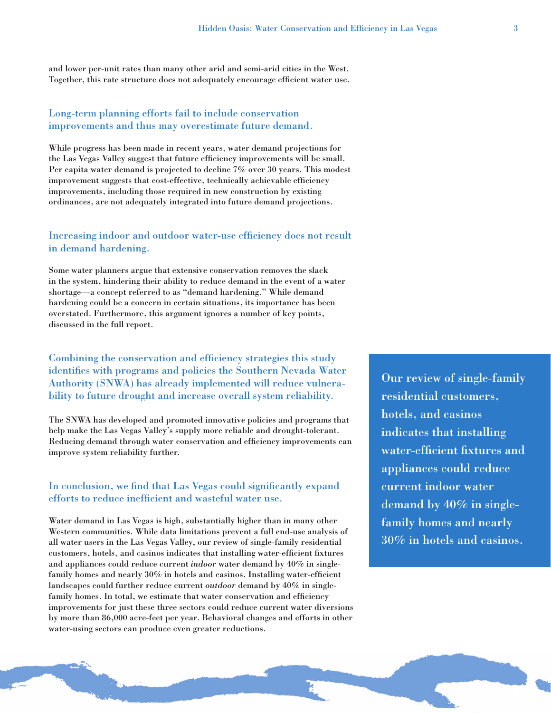and lower per-unit rates than many other arid and semi-arid cities in the West. Together, this rate structure does not adequately encourage efficient water use.

#### Long-term planning efforts fail to include conservation improvements and thus may overestimate future demand.

While progress has been made in recent years, water demand projections for the Las Vegas Valley suggest that future efficiency improvements will be small. Per capita water demand is projected to decline 7% over 30 years. This modest improvement suggests that cost-effective, technically achievable efficiency improvements, including those required in new construction by existing ordinances, are not adequately integrated into future demand projections.

#### Increasing indoor and outdoor water-use efficiency does not result in demand hardening.

Some water planners argue that extensive conservation removes the slack in the system, hindering their ability to reduce demand in the event of a water shortage—a concept referred to as "demand hardening." While demand hardening could be a concern in certain situations, its importance has been overstated. Furthermore, this argument ignores a number of key points, discussed in the full report.

#### Combining the conservation and efficiency strategies this study identifies with programs and policies the Southern Nevada Water Authority (SNWA) has already implemented will reduce vulnerability to future drought and increase overall system reliability.

The SNWA has developed and promoted innovative policies and programs that help make the Las Vegas Valley's supply more reliable and drought-tolerant. Reducing demand through water conservation and efficiency improvements can improve system reliability further.

#### In conclusion, we find that Las Vegas could significantly expand efforts to reduce inefficient and wasteful water use.

Water demand in Las Vegas is high, substantially higher than in many other Western communities. While data limitations prevent a full end-use analysis of all water users in the Las Vegas Valley, our review of single-family residential customers, hotels, and casinos indicates that installing water-efficient fixtures and appliances could reduce current *indoor* water demand by 40% in singlefamily homes and nearly 30% in hotels and casinos. Installing water-efficient landscapes could further reduce current *outdoor* demand by 40% in singlefamily homes. In total, we estimate that water conservation and efficiency improvements for just these three sectors could reduce current water diversions by more than 86,000 acre-feet per year. Behavioral changes and efforts in other water-using sectors can produce even greater reductions.

Our review of single-family residential customers. hotels, and casinos indicates that installing water-efficient fixtures and appliances could reduce current indoor water demand by  $40\%$  in singlefamily homes and nearly 30% in hotels and casinos.